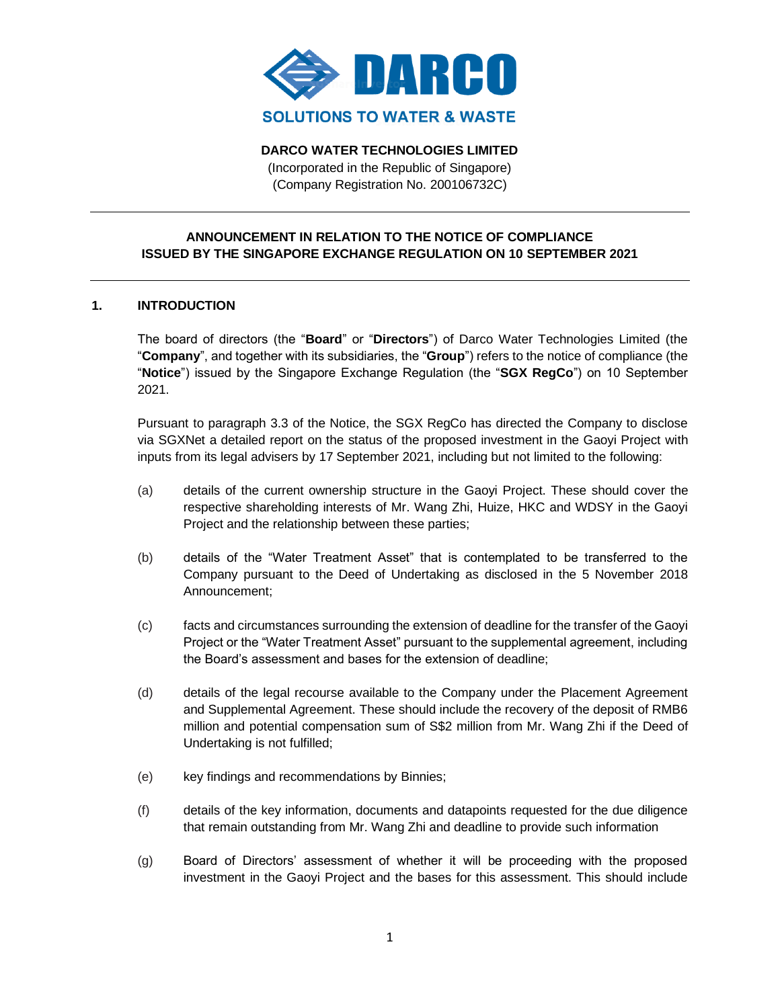

**DARCO WATER TECHNOLOGIES LIMITED**

(Incorporated in the Republic of Singapore) (Company Registration No. 200106732C)

# **ANNOUNCEMENT IN RELATION TO THE NOTICE OF COMPLIANCE ISSUED BY THE SINGAPORE EXCHANGE REGULATION ON 10 SEPTEMBER 2021**

### **1. INTRODUCTION**

The board of directors (the "**Board**" or "**Directors**") of Darco Water Technologies Limited (the "**Company**", and together with its subsidiaries, the "**Group**") refers to the notice of compliance (the "**Notice**") issued by the Singapore Exchange Regulation (the "**SGX RegCo**") on 10 September 2021.

Pursuant to paragraph 3.3 of the Notice, the SGX RegCo has directed the Company to disclose via SGXNet a detailed report on the status of the proposed investment in the Gaoyi Project with inputs from its legal advisers by 17 September 2021, including but not limited to the following:

- (a) details of the current ownership structure in the Gaoyi Project. These should cover the respective shareholding interests of Mr. Wang Zhi, Huize, HKC and WDSY in the Gaoyi Project and the relationship between these parties;
- (b) details of the "Water Treatment Asset" that is contemplated to be transferred to the Company pursuant to the Deed of Undertaking as disclosed in the 5 November 2018 Announcement;
- (c) facts and circumstances surrounding the extension of deadline for the transfer of the Gaoyi Project or the "Water Treatment Asset" pursuant to the supplemental agreement, including the Board's assessment and bases for the extension of deadline;
- (d) details of the legal recourse available to the Company under the Placement Agreement and Supplemental Agreement. These should include the recovery of the deposit of RMB6 million and potential compensation sum of S\$2 million from Mr. Wang Zhi if the Deed of Undertaking is not fulfilled;
- (e) key findings and recommendations by Binnies;
- (f) details of the key information, documents and datapoints requested for the due diligence that remain outstanding from Mr. Wang Zhi and deadline to provide such information
- (g) Board of Directors' assessment of whether it will be proceeding with the proposed investment in the Gaoyi Project and the bases for this assessment. This should include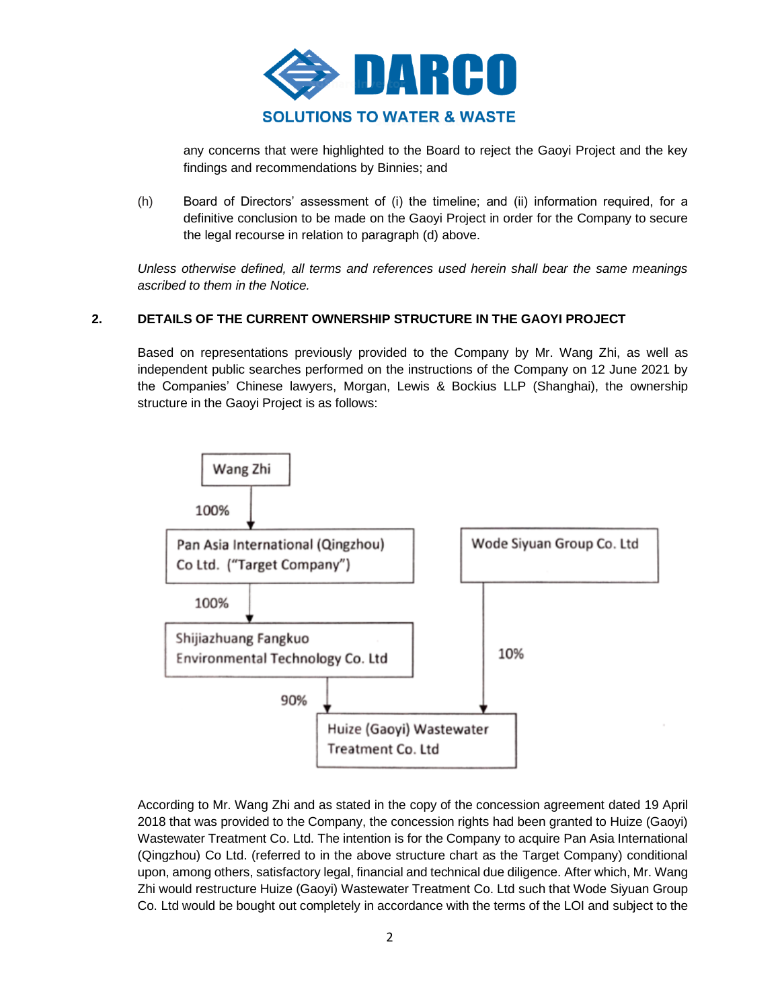

any concerns that were highlighted to the Board to reject the Gaoyi Project and the key findings and recommendations by Binnies; and

(h) Board of Directors' assessment of (i) the timeline; and (ii) information required, for a definitive conclusion to be made on the Gaoyi Project in order for the Company to secure the legal recourse in relation to paragraph (d) above.

*Unless otherwise defined, all terms and references used herein shall bear the same meanings ascribed to them in the Notice.*

# **2. DETAILS OF THE CURRENT OWNERSHIP STRUCTURE IN THE GAOYI PROJECT**

Based on representations previously provided to the Company by Mr. Wang Zhi, as well as independent public searches performed on the instructions of the Company on 12 June 2021 by the Companies' Chinese lawyers, Morgan, Lewis & Bockius LLP (Shanghai), the ownership structure in the Gaoyi Project is as follows:



According to Mr. Wang Zhi and as stated in the copy of the concession agreement dated 19 April 2018 that was provided to the Company, the concession rights had been granted to Huize (Gaoyi) Wastewater Treatment Co. Ltd. The intention is for the Company to acquire Pan Asia International (Qingzhou) Co Ltd. (referred to in the above structure chart as the Target Company) conditional upon, among others, satisfactory legal, financial and technical due diligence. After which, Mr. Wang Zhi would restructure Huize (Gaoyi) Wastewater Treatment Co. Ltd such that Wode Siyuan Group Co. Ltd would be bought out completely in accordance with the terms of the LOI and subject to the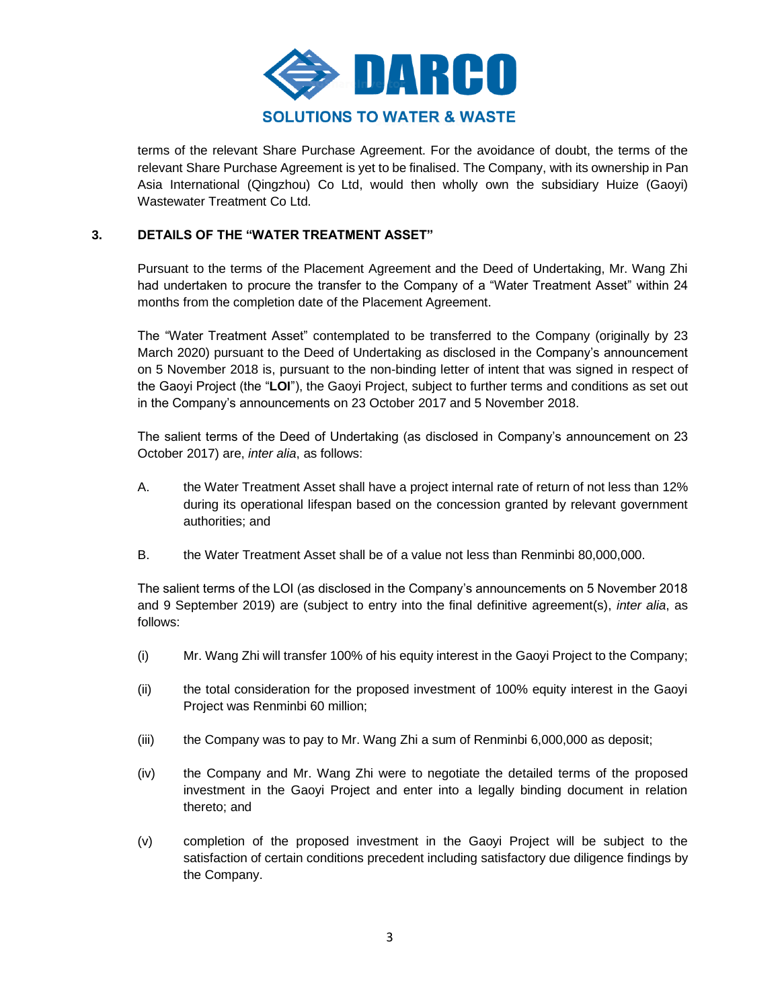

terms of the relevant Share Purchase Agreement. For the avoidance of doubt, the terms of the relevant Share Purchase Agreement is yet to be finalised. The Company, with its ownership in Pan Asia International (Qingzhou) Co Ltd, would then wholly own the subsidiary Huize (Gaoyi) Wastewater Treatment Co Ltd.

# **3. DETAILS OF THE "WATER TREATMENT ASSET"**

Pursuant to the terms of the Placement Agreement and the Deed of Undertaking, Mr. Wang Zhi had undertaken to procure the transfer to the Company of a "Water Treatment Asset" within 24 months from the completion date of the Placement Agreement.

The "Water Treatment Asset" contemplated to be transferred to the Company (originally by 23 March 2020) pursuant to the Deed of Undertaking as disclosed in the Company's announcement on 5 November 2018 is, pursuant to the non-binding letter of intent that was signed in respect of the Gaoyi Project (the "**LOI**"), the Gaoyi Project, subject to further terms and conditions as set out in the Company's announcements on 23 October 2017 and 5 November 2018.

The salient terms of the Deed of Undertaking (as disclosed in Company's announcement on 23 October 2017) are, *inter alia*, as follows:

- A. the Water Treatment Asset shall have a project internal rate of return of not less than 12% during its operational lifespan based on the concession granted by relevant government authorities; and
- B. the Water Treatment Asset shall be of a value not less than Renminbi 80,000,000.

The salient terms of the LOI (as disclosed in the Company's announcements on 5 November 2018 and 9 September 2019) are (subject to entry into the final definitive agreement(s), *inter alia*, as follows:

- (i) Mr. Wang Zhi will transfer 100% of his equity interest in the Gaoyi Project to the Company;
- (ii) the total consideration for the proposed investment of 100% equity interest in the Gaoyi Project was Renminbi 60 million;
- (iii) the Company was to pay to Mr. Wang Zhi a sum of Renminbi 6,000,000 as deposit;
- (iv) the Company and Mr. Wang Zhi were to negotiate the detailed terms of the proposed investment in the Gaoyi Project and enter into a legally binding document in relation thereto; and
- (v) completion of the proposed investment in the Gaoyi Project will be subject to the satisfaction of certain conditions precedent including satisfactory due diligence findings by the Company.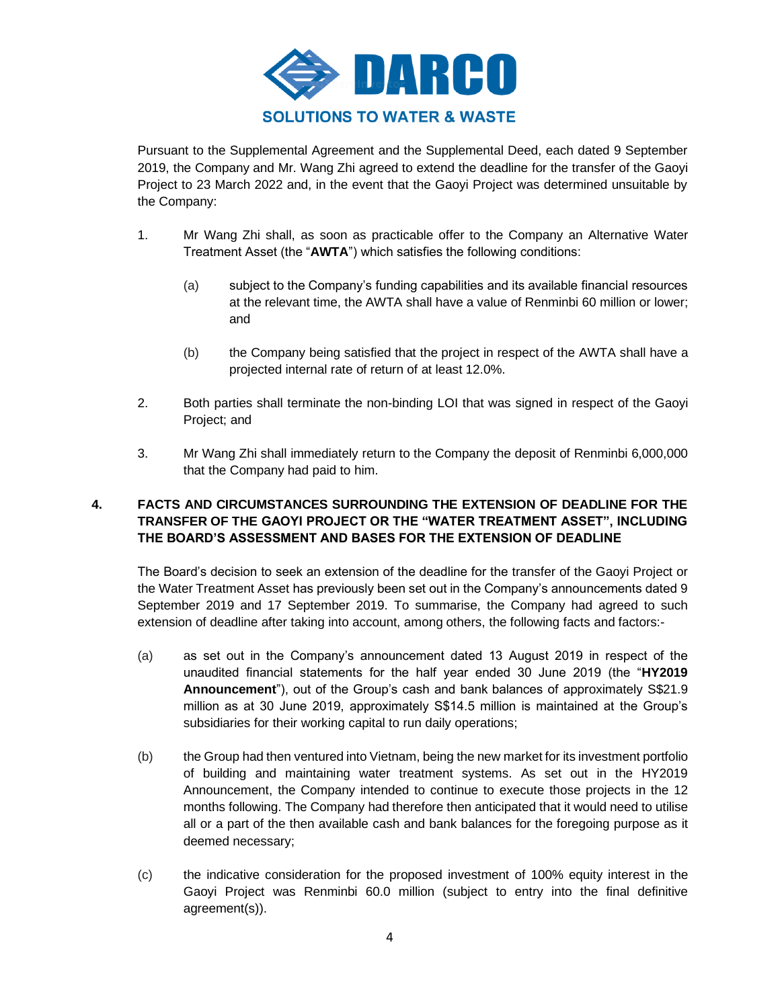

Pursuant to the Supplemental Agreement and the Supplemental Deed, each dated 9 September 2019, the Company and Mr. Wang Zhi agreed to extend the deadline for the transfer of the Gaoyi Project to 23 March 2022 and, in the event that the Gaoyi Project was determined unsuitable by the Company:

- 1. Mr Wang Zhi shall, as soon as practicable offer to the Company an Alternative Water Treatment Asset (the "**AWTA**") which satisfies the following conditions:
	- (a) subject to the Company's funding capabilities and its available financial resources at the relevant time, the AWTA shall have a value of Renminbi 60 million or lower; and
	- (b) the Company being satisfied that the project in respect of the AWTA shall have a projected internal rate of return of at least 12.0%.
- 2. Both parties shall terminate the non-binding LOI that was signed in respect of the Gaoyi Project; and
- 3. Mr Wang Zhi shall immediately return to the Company the deposit of Renminbi 6,000,000 that the Company had paid to him.

# **4. FACTS AND CIRCUMSTANCES SURROUNDING THE EXTENSION OF DEADLINE FOR THE TRANSFER OF THE GAOYI PROJECT OR THE "WATER TREATMENT ASSET", INCLUDING THE BOARD'S ASSESSMENT AND BASES FOR THE EXTENSION OF DEADLINE**

The Board's decision to seek an extension of the deadline for the transfer of the Gaoyi Project or the Water Treatment Asset has previously been set out in the Company's announcements dated 9 September 2019 and 17 September 2019. To summarise, the Company had agreed to such extension of deadline after taking into account, among others, the following facts and factors:-

- (a) as set out in the Company's announcement dated 13 August 2019 in respect of the unaudited financial statements for the half year ended 30 June 2019 (the "**HY2019 Announcement**"), out of the Group's cash and bank balances of approximately S\$21.9 million as at 30 June 2019, approximately S\$14.5 million is maintained at the Group's subsidiaries for their working capital to run daily operations;
- (b) the Group had then ventured into Vietnam, being the new market for its investment portfolio of building and maintaining water treatment systems. As set out in the HY2019 Announcement, the Company intended to continue to execute those projects in the 12 months following. The Company had therefore then anticipated that it would need to utilise all or a part of the then available cash and bank balances for the foregoing purpose as it deemed necessary;
- (c) the indicative consideration for the proposed investment of 100% equity interest in the Gaoyi Project was Renminbi 60.0 million (subject to entry into the final definitive agreement(s)).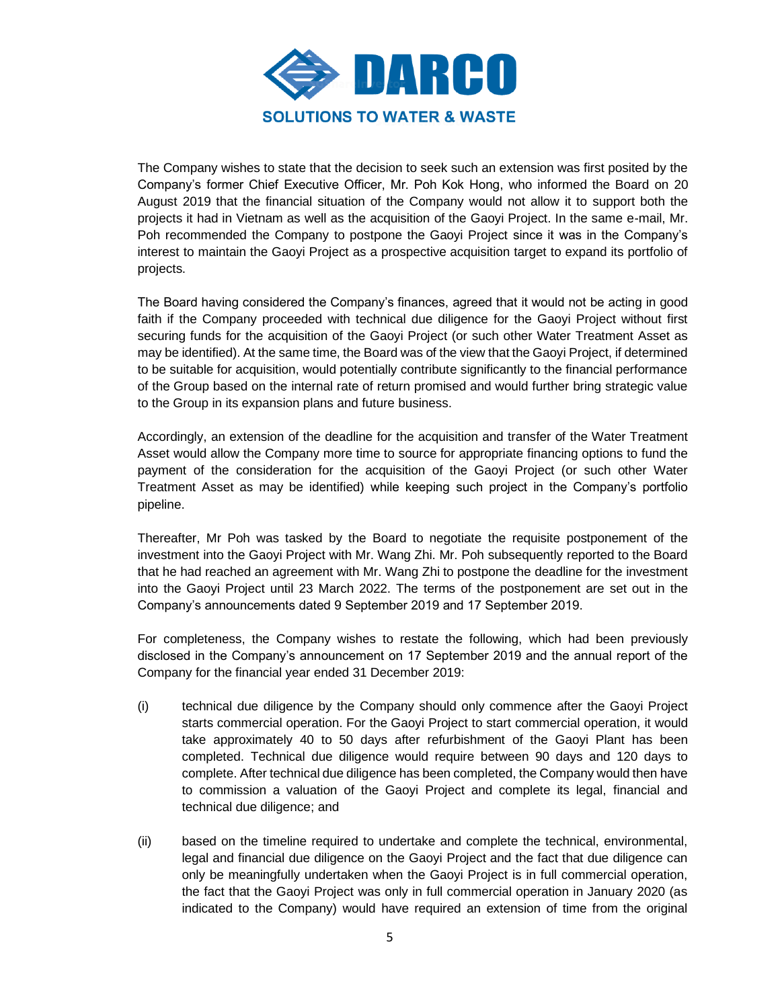

The Company wishes to state that the decision to seek such an extension was first posited by the Company's former Chief Executive Officer, Mr. Poh Kok Hong, who informed the Board on 20 August 2019 that the financial situation of the Company would not allow it to support both the projects it had in Vietnam as well as the acquisition of the Gaoyi Project. In the same e-mail, Mr. Poh recommended the Company to postpone the Gaoyi Project since it was in the Company's interest to maintain the Gaoyi Project as a prospective acquisition target to expand its portfolio of projects.

The Board having considered the Company's finances, agreed that it would not be acting in good faith if the Company proceeded with technical due diligence for the Gaoyi Project without first securing funds for the acquisition of the Gaoyi Project (or such other Water Treatment Asset as may be identified). At the same time, the Board was of the view that the Gaoyi Project, if determined to be suitable for acquisition, would potentially contribute significantly to the financial performance of the Group based on the internal rate of return promised and would further bring strategic value to the Group in its expansion plans and future business.

Accordingly, an extension of the deadline for the acquisition and transfer of the Water Treatment Asset would allow the Company more time to source for appropriate financing options to fund the payment of the consideration for the acquisition of the Gaoyi Project (or such other Water Treatment Asset as may be identified) while keeping such project in the Company's portfolio pipeline.

Thereafter, Mr Poh was tasked by the Board to negotiate the requisite postponement of the investment into the Gaoyi Project with Mr. Wang Zhi. Mr. Poh subsequently reported to the Board that he had reached an agreement with Mr. Wang Zhi to postpone the deadline for the investment into the Gaoyi Project until 23 March 2022. The terms of the postponement are set out in the Company's announcements dated 9 September 2019 and 17 September 2019.

For completeness, the Company wishes to restate the following, which had been previously disclosed in the Company's announcement on 17 September 2019 and the annual report of the Company for the financial year ended 31 December 2019:

- (i) technical due diligence by the Company should only commence after the Gaoyi Project starts commercial operation. For the Gaoyi Project to start commercial operation, it would take approximately 40 to 50 days after refurbishment of the Gaoyi Plant has been completed. Technical due diligence would require between 90 days and 120 days to complete. After technical due diligence has been completed, the Company would then have to commission a valuation of the Gaoyi Project and complete its legal, financial and technical due diligence; and
- (ii) based on the timeline required to undertake and complete the technical, environmental, legal and financial due diligence on the Gaoyi Project and the fact that due diligence can only be meaningfully undertaken when the Gaoyi Project is in full commercial operation, the fact that the Gaoyi Project was only in full commercial operation in January 2020 (as indicated to the Company) would have required an extension of time from the original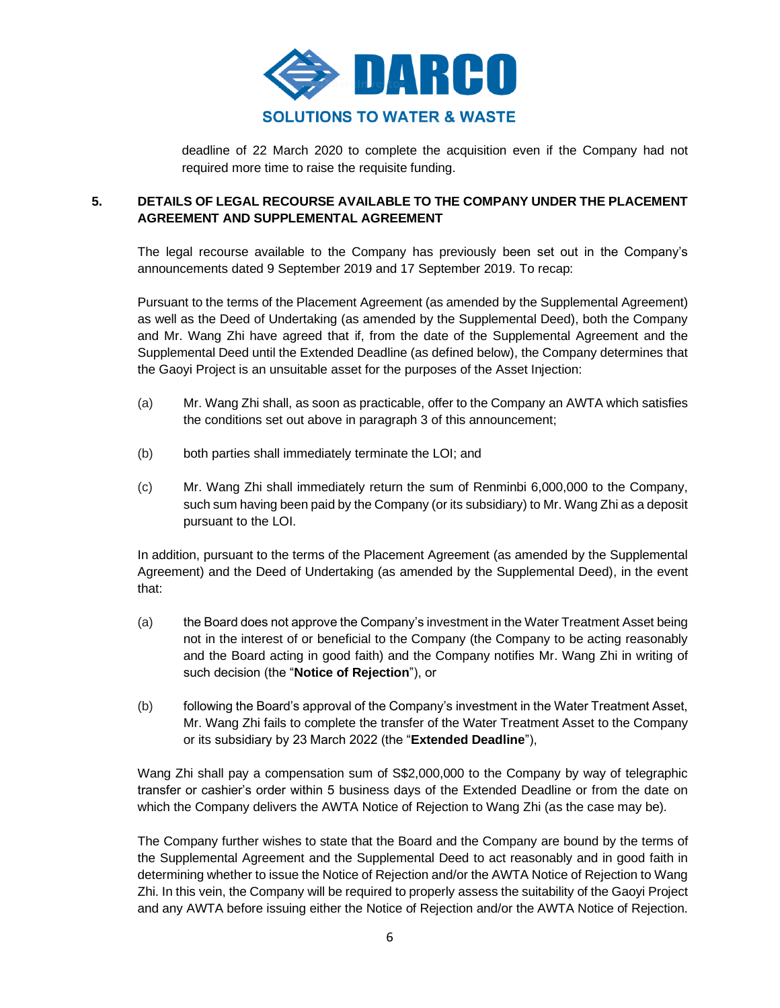

deadline of 22 March 2020 to complete the acquisition even if the Company had not required more time to raise the requisite funding.

# **5. DETAILS OF LEGAL RECOURSE AVAILABLE TO THE COMPANY UNDER THE PLACEMENT AGREEMENT AND SUPPLEMENTAL AGREEMENT**

The legal recourse available to the Company has previously been set out in the Company's announcements dated 9 September 2019 and 17 September 2019. To recap:

Pursuant to the terms of the Placement Agreement (as amended by the Supplemental Agreement) as well as the Deed of Undertaking (as amended by the Supplemental Deed), both the Company and Mr. Wang Zhi have agreed that if, from the date of the Supplemental Agreement and the Supplemental Deed until the Extended Deadline (as defined below), the Company determines that the Gaoyi Project is an unsuitable asset for the purposes of the Asset Injection:

- (a) Mr. Wang Zhi shall, as soon as practicable, offer to the Company an AWTA which satisfies the conditions set out above in paragraph 3 of this announcement;
- (b) both parties shall immediately terminate the LOI; and
- (c) Mr. Wang Zhi shall immediately return the sum of Renminbi 6,000,000 to the Company, such sum having been paid by the Company (or its subsidiary) to Mr. Wang Zhi as a deposit pursuant to the LOI.

In addition, pursuant to the terms of the Placement Agreement (as amended by the Supplemental Agreement) and the Deed of Undertaking (as amended by the Supplemental Deed), in the event that:

- (a) the Board does not approve the Company's investment in the Water Treatment Asset being not in the interest of or beneficial to the Company (the Company to be acting reasonably and the Board acting in good faith) and the Company notifies Mr. Wang Zhi in writing of such decision (the "**Notice of Rejection**"), or
- (b) following the Board's approval of the Company's investment in the Water Treatment Asset, Mr. Wang Zhi fails to complete the transfer of the Water Treatment Asset to the Company or its subsidiary by 23 March 2022 (the "**Extended Deadline**"),

Wang Zhi shall pay a compensation sum of S\$2,000,000 to the Company by way of telegraphic transfer or cashier's order within 5 business days of the Extended Deadline or from the date on which the Company delivers the AWTA Notice of Rejection to Wang Zhi (as the case may be).

The Company further wishes to state that the Board and the Company are bound by the terms of the Supplemental Agreement and the Supplemental Deed to act reasonably and in good faith in determining whether to issue the Notice of Rejection and/or the AWTA Notice of Rejection to Wang Zhi. In this vein, the Company will be required to properly assess the suitability of the Gaoyi Project and any AWTA before issuing either the Notice of Rejection and/or the AWTA Notice of Rejection.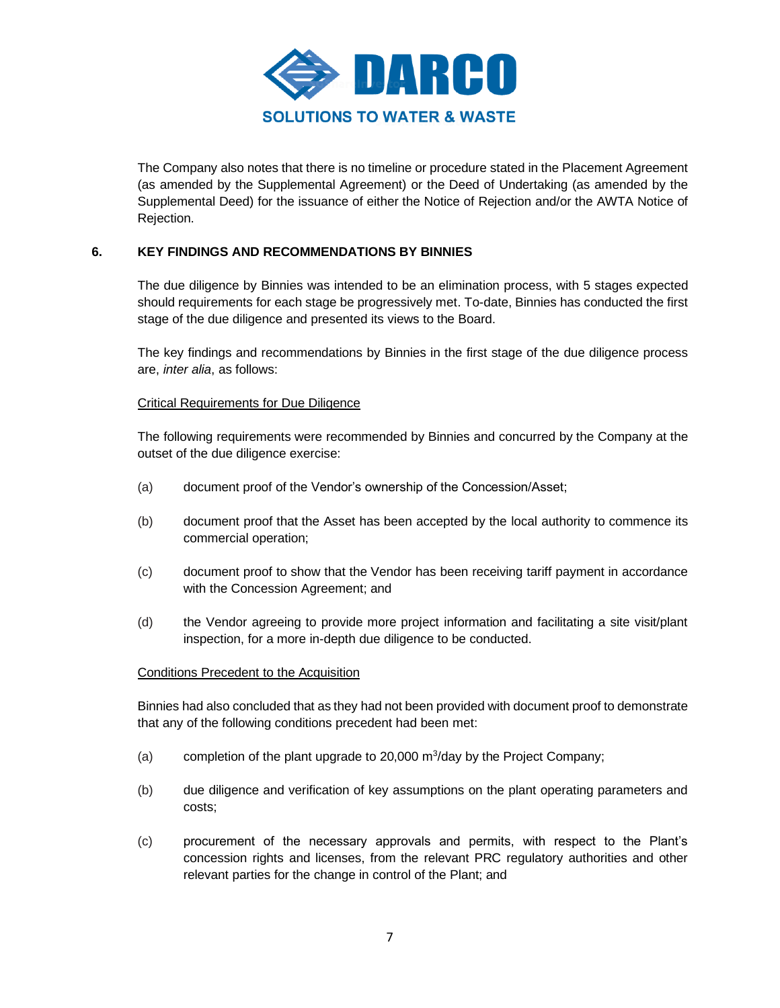

The Company also notes that there is no timeline or procedure stated in the Placement Agreement (as amended by the Supplemental Agreement) or the Deed of Undertaking (as amended by the Supplemental Deed) for the issuance of either the Notice of Rejection and/or the AWTA Notice of Rejection.

### **6. KEY FINDINGS AND RECOMMENDATIONS BY BINNIES**

The due diligence by Binnies was intended to be an elimination process, with 5 stages expected should requirements for each stage be progressively met. To-date, Binnies has conducted the first stage of the due diligence and presented its views to the Board.

The key findings and recommendations by Binnies in the first stage of the due diligence process are, *inter alia*, as follows:

### Critical Requirements for Due Diligence

The following requirements were recommended by Binnies and concurred by the Company at the outset of the due diligence exercise:

- (a) document proof of the Vendor's ownership of the Concession/Asset;
- (b) document proof that the Asset has been accepted by the local authority to commence its commercial operation;
- (c) document proof to show that the Vendor has been receiving tariff payment in accordance with the Concession Agreement; and
- (d) the Vendor agreeing to provide more project information and facilitating a site visit/plant inspection, for a more in-depth due diligence to be conducted.

#### Conditions Precedent to the Acquisition

Binnies had also concluded that as they had not been provided with document proof to demonstrate that any of the following conditions precedent had been met:

- (a) completion of the plant upgrade to 20,000  $\mathrm{m}^3$ /day by the Project Company;
- (b) due diligence and verification of key assumptions on the plant operating parameters and costs;
- (c) procurement of the necessary approvals and permits, with respect to the Plant's concession rights and licenses, from the relevant PRC regulatory authorities and other relevant parties for the change in control of the Plant; and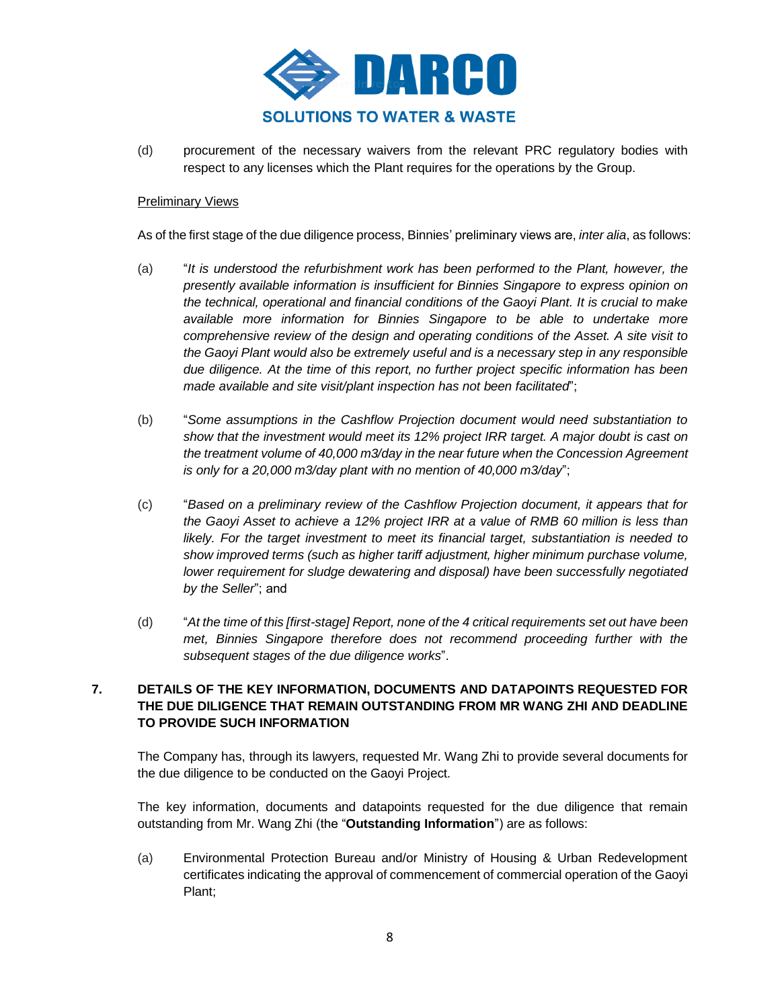

(d) procurement of the necessary waivers from the relevant PRC regulatory bodies with respect to any licenses which the Plant requires for the operations by the Group.

### **Preliminary Views**

As of the first stage of the due diligence process, Binnies' preliminary views are, *inter alia*, as follows:

- (a) "*It is understood the refurbishment work has been performed to the Plant, however, the presently available information is insufficient for Binnies Singapore to express opinion on the technical, operational and financial conditions of the Gaoyi Plant. It is crucial to make available more information for Binnies Singapore to be able to undertake more comprehensive review of the design and operating conditions of the Asset. A site visit to the Gaoyi Plant would also be extremely useful and is a necessary step in any responsible due diligence. At the time of this report, no further project specific information has been made available and site visit/plant inspection has not been facilitated*";
- (b) "*Some assumptions in the Cashflow Projection document would need substantiation to show that the investment would meet its 12% project IRR target. A major doubt is cast on the treatment volume of 40,000 m3/day in the near future when the Concession Agreement is only for a 20,000 m3/day plant with no mention of 40,000 m3/day*";
- (c) "*Based on a preliminary review of the Cashflow Projection document, it appears that for the Gaoyi Asset to achieve a 12% project IRR at a value of RMB 60 million is less than likely. For the target investment to meet its financial target, substantiation is needed to show improved terms (such as higher tariff adjustment, higher minimum purchase volume, lower requirement for sludge dewatering and disposal) have been successfully negotiated by the Seller*"; and
- (d) "*At the time of this [first-stage] Report, none of the 4 critical requirements set out have been met, Binnies Singapore therefore does not recommend proceeding further with the subsequent stages of the due diligence works*".

## **7. DETAILS OF THE KEY INFORMATION, DOCUMENTS AND DATAPOINTS REQUESTED FOR THE DUE DILIGENCE THAT REMAIN OUTSTANDING FROM MR WANG ZHI AND DEADLINE TO PROVIDE SUCH INFORMATION**

The Company has, through its lawyers, requested Mr. Wang Zhi to provide several documents for the due diligence to be conducted on the Gaoyi Project.

The key information, documents and datapoints requested for the due diligence that remain outstanding from Mr. Wang Zhi (the "**Outstanding Information**") are as follows:

(a) Environmental Protection Bureau and/or Ministry of Housing & Urban Redevelopment certificates indicating the approval of commencement of commercial operation of the Gaoyi Plant;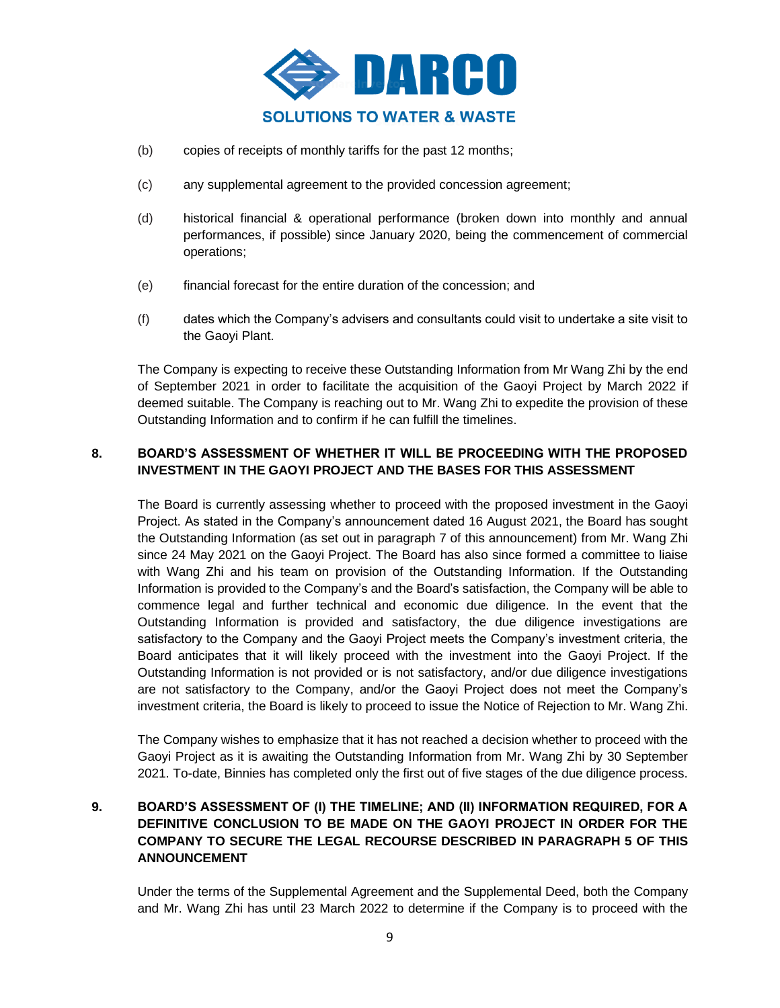

- (b) copies of receipts of monthly tariffs for the past 12 months;
- (c) any supplemental agreement to the provided concession agreement;
- (d) historical financial & operational performance (broken down into monthly and annual performances, if possible) since January 2020, being the commencement of commercial operations;
- (e) financial forecast for the entire duration of the concession; and
- (f) dates which the Company's advisers and consultants could visit to undertake a site visit to the Gaoyi Plant.

The Company is expecting to receive these Outstanding Information from Mr Wang Zhi by the end of September 2021 in order to facilitate the acquisition of the Gaoyi Project by March 2022 if deemed suitable. The Company is reaching out to Mr. Wang Zhi to expedite the provision of these Outstanding Information and to confirm if he can fulfill the timelines.

## **8. BOARD'S ASSESSMENT OF WHETHER IT WILL BE PROCEEDING WITH THE PROPOSED INVESTMENT IN THE GAOYI PROJECT AND THE BASES FOR THIS ASSESSMENT**

The Board is currently assessing whether to proceed with the proposed investment in the Gaoyi Project. As stated in the Company's announcement dated 16 August 2021, the Board has sought the Outstanding Information (as set out in paragraph 7 of this announcement) from Mr. Wang Zhi since 24 May 2021 on the Gaoyi Project. The Board has also since formed a committee to liaise with Wang Zhi and his team on provision of the Outstanding Information. If the Outstanding Information is provided to the Company's and the Board's satisfaction, the Company will be able to commence legal and further technical and economic due diligence. In the event that the Outstanding Information is provided and satisfactory, the due diligence investigations are satisfactory to the Company and the Gaoyi Project meets the Company's investment criteria, the Board anticipates that it will likely proceed with the investment into the Gaoyi Project. If the Outstanding Information is not provided or is not satisfactory, and/or due diligence investigations are not satisfactory to the Company, and/or the Gaoyi Project does not meet the Company's investment criteria, the Board is likely to proceed to issue the Notice of Rejection to Mr. Wang Zhi.

The Company wishes to emphasize that it has not reached a decision whether to proceed with the Gaoyi Project as it is awaiting the Outstanding Information from Mr. Wang Zhi by 30 September 2021. To-date, Binnies has completed only the first out of five stages of the due diligence process.

# **9. BOARD'S ASSESSMENT OF (I) THE TIMELINE; AND (II) INFORMATION REQUIRED, FOR A DEFINITIVE CONCLUSION TO BE MADE ON THE GAOYI PROJECT IN ORDER FOR THE COMPANY TO SECURE THE LEGAL RECOURSE DESCRIBED IN PARAGRAPH 5 OF THIS ANNOUNCEMENT**

Under the terms of the Supplemental Agreement and the Supplemental Deed, both the Company and Mr. Wang Zhi has until 23 March 2022 to determine if the Company is to proceed with the